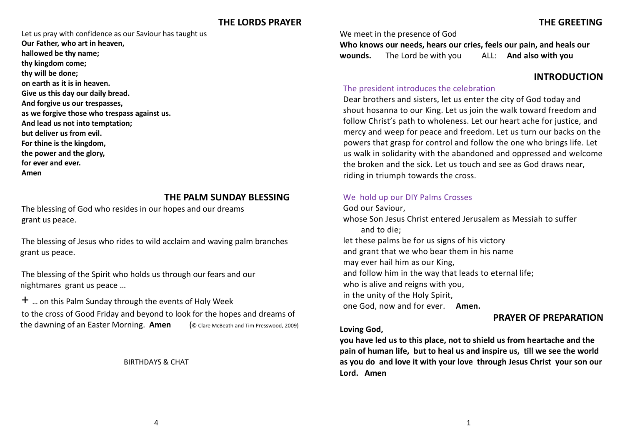Let us pray with confidence as our Saviour has taught us **Our Father, who art in heaven, hallowed be thy name; thy kingdom come; thy will be done; on earth as it is in heaven. Give us this day our daily bread. And forgive us our trespasses, as we forgive those who trespass against us. And lead us not into temptation; but deliver us from evil. For thine is the kingdom, the power and the glory, for ever and ever. Amen**

# **THE PALM SUNDAY BLESSING**

The blessing of God who resides in our hopes and our dreams grant us peace.

The blessing of Jesus who rides to wild acclaim and waving palm branches grant us peace.

The blessing of the Spirit who holds us through our fears and our nightmares grant us peace …

 $+$  ... on this Palm Sunday through the events of Holy Week to the cross of Good Friday and beyond to look for the hopes and dreams of the dawning of an Easter Morning. **Amen** (© Clare McBeath and Tim Presswood, 2009)

BIRTHDAYS & CHAT

We meet in the presence of God

**Who knows our needs, hears our cries, feels our pain, and heals our wounds.** The Lord be with you ALL: **And also with you**

# **INTRODUCTION**

## The president introduces the celebration

Dear brothers and sisters, let us enter the city of God today and shout hosanna to our King. Let us join the walk toward freedom and follow Christ's path to wholeness. Let our heart ache for justice, and mercy and weep for peace and freedom. Let us turn our backs on the powers that grasp for control and follow the one who brings life. Let us walk in solidarity with the abandoned and oppressed and welcome the broken and the sick. Let us touch and see as God draws near, riding in triumph towards the cross.

### We hold up our DIY Palms Crosses

God our Saviour, whose Son Jesus Christ entered Jerusalem as Messiah to suffer and to die; let these palms be for us signs of his victory and grant that we who bear them in his name may ever hail him as our King, and follow him in the way that leads to eternal life; who is alive and reigns with you, in the unity of the Holy Spirit, one God, now and for ever. **Amen. PRAYER OF PREPARATION**

# **Loving God,**

**you have led us to this place, not to shield us from heartache and the pain of human life, but to heal us and inspire us, till we see the world as you do and love it with your love through Jesus Christ your son our Lord. Amen**